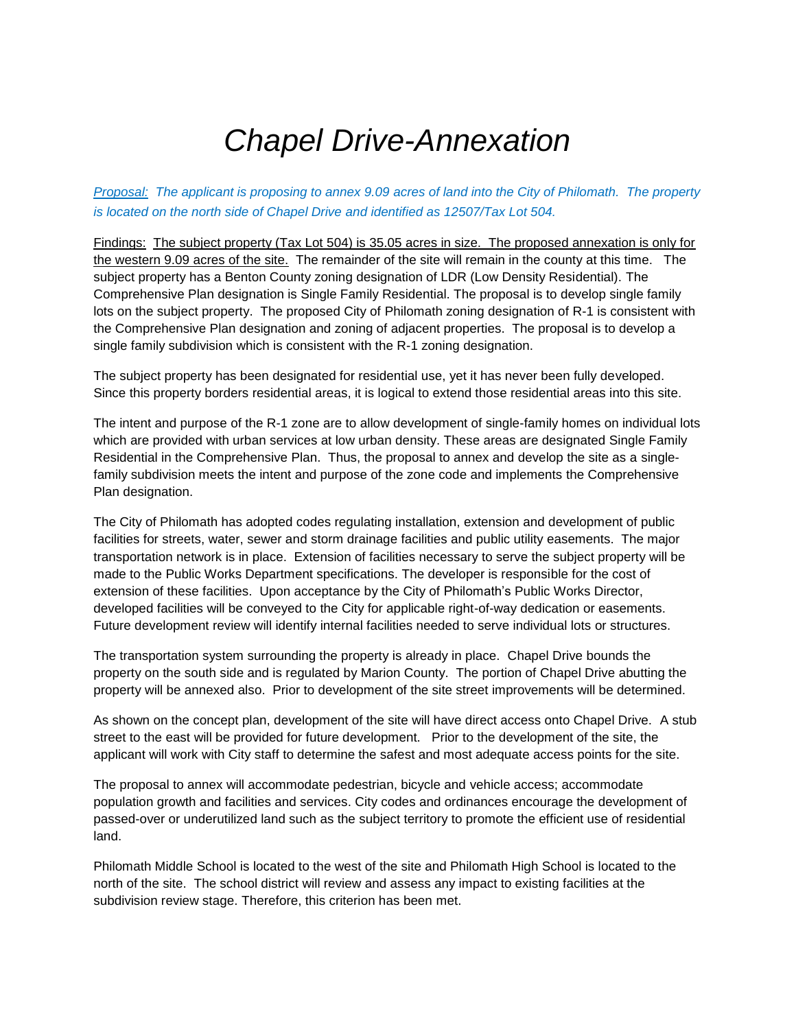# *Chapel Drive-Annexation*

*Proposal: The applicant is proposing to annex 9.09 acres of land into the City of Philomath. The property is located on the north side of Chapel Drive and identified as 12507/Tax Lot 504.*

Findings: The subject property (Tax Lot 504) is 35.05 acres in size. The proposed annexation is only for the western 9.09 acres of the site. The remainder of the site will remain in the county at this time. The subject property has a Benton County zoning designation of LDR (Low Density Residential). The Comprehensive Plan designation is Single Family Residential. The proposal is to develop single family lots on the subject property. The proposed City of Philomath zoning designation of R-1 is consistent with the Comprehensive Plan designation and zoning of adjacent properties. The proposal is to develop a single family subdivision which is consistent with the R-1 zoning designation.

The subject property has been designated for residential use, yet it has never been fully developed. Since this property borders residential areas, it is logical to extend those residential areas into this site.

The intent and purpose of the R-1 zone are to allow development of single-family homes on individual lots which are provided with urban services at low urban density. These areas are designated Single Family Residential in the Comprehensive Plan. Thus, the proposal to annex and develop the site as a singlefamily subdivision meets the intent and purpose of the zone code and implements the Comprehensive Plan designation.

The City of Philomath has adopted codes regulating installation, extension and development of public facilities for streets, water, sewer and storm drainage facilities and public utility easements. The major transportation network is in place. Extension of facilities necessary to serve the subject property will be made to the Public Works Department specifications. The developer is responsible for the cost of extension of these facilities. Upon acceptance by the City of Philomath's Public Works Director, developed facilities will be conveyed to the City for applicable right-of-way dedication or easements. Future development review will identify internal facilities needed to serve individual lots or structures.

The transportation system surrounding the property is already in place. Chapel Drive bounds the property on the south side and is regulated by Marion County. The portion of Chapel Drive abutting the property will be annexed also. Prior to development of the site street improvements will be determined.

As shown on the concept plan, development of the site will have direct access onto Chapel Drive. A stub street to the east will be provided for future development. Prior to the development of the site, the applicant will work with City staff to determine the safest and most adequate access points for the site.

The proposal to annex will accommodate pedestrian, bicycle and vehicle access; accommodate population growth and facilities and services. City codes and ordinances encourage the development of passed-over or underutilized land such as the subject territory to promote the efficient use of residential land.

Philomath Middle School is located to the west of the site and Philomath High School is located to the north of the site. The school district will review and assess any impact to existing facilities at the subdivision review stage. Therefore, this criterion has been met.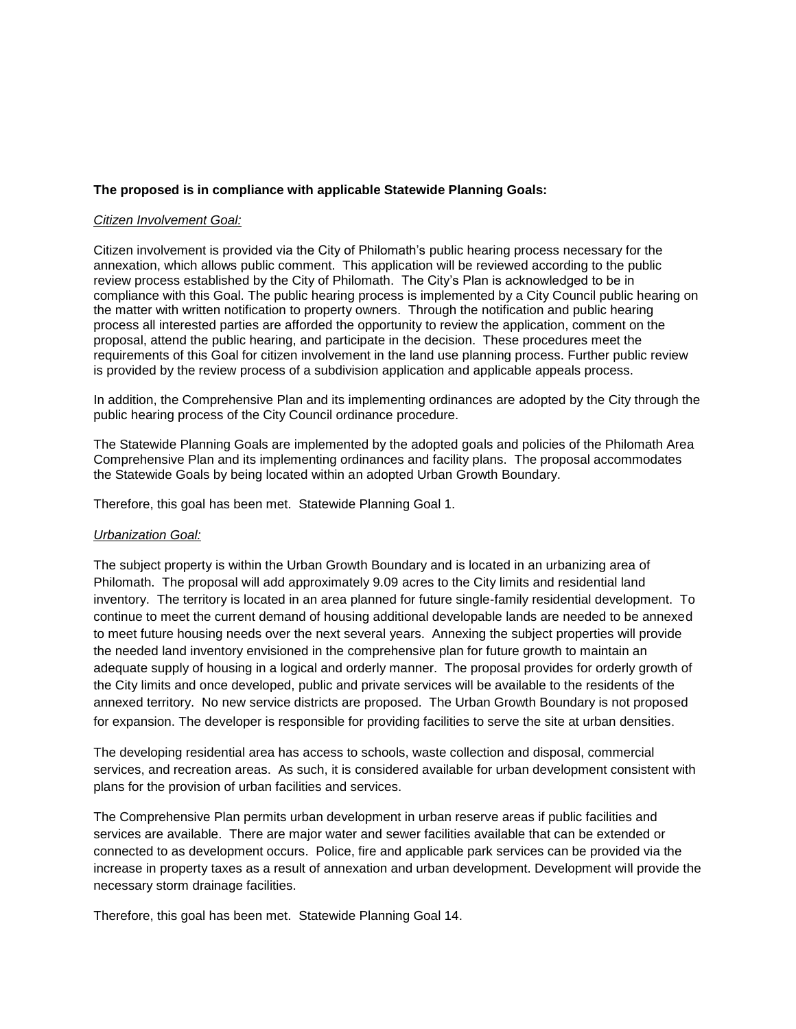## **The proposed is in compliance with applicable Statewide Planning Goals:**

#### *Citizen Involvement Goal:*

Citizen involvement is provided via the City of Philomath's public hearing process necessary for the annexation, which allows public comment. This application will be reviewed according to the public review process established by the City of Philomath. The City's Plan is acknowledged to be in compliance with this Goal. The public hearing process is implemented by a City Council public hearing on the matter with written notification to property owners. Through the notification and public hearing process all interested parties are afforded the opportunity to review the application, comment on the proposal, attend the public hearing, and participate in the decision. These procedures meet the requirements of this Goal for citizen involvement in the land use planning process. Further public review is provided by the review process of a subdivision application and applicable appeals process.

In addition, the Comprehensive Plan and its implementing ordinances are adopted by the City through the public hearing process of the City Council ordinance procedure.

The Statewide Planning Goals are implemented by the adopted goals and policies of the Philomath Area Comprehensive Plan and its implementing ordinances and facility plans. The proposal accommodates the Statewide Goals by being located within an adopted Urban Growth Boundary.

Therefore, this goal has been met. Statewide Planning Goal 1.

### *Urbanization Goal:*

The subject property is within the Urban Growth Boundary and is located in an urbanizing area of Philomath. The proposal will add approximately 9.09 acres to the City limits and residential land inventory. The territory is located in an area planned for future single-family residential development. To continue to meet the current demand of housing additional developable lands are needed to be annexed to meet future housing needs over the next several years. Annexing the subject properties will provide the needed land inventory envisioned in the comprehensive plan for future growth to maintain an adequate supply of housing in a logical and orderly manner. The proposal provides for orderly growth of the City limits and once developed, public and private services will be available to the residents of the annexed territory. No new service districts are proposed. The Urban Growth Boundary is not proposed for expansion. The developer is responsible for providing facilities to serve the site at urban densities.

The developing residential area has access to schools, waste collection and disposal, commercial services, and recreation areas. As such, it is considered available for urban development consistent with plans for the provision of urban facilities and services.

The Comprehensive Plan permits urban development in urban reserve areas if public facilities and services are available. There are major water and sewer facilities available that can be extended or connected to as development occurs. Police, fire and applicable park services can be provided via the increase in property taxes as a result of annexation and urban development. Development will provide the necessary storm drainage facilities.

Therefore, this goal has been met. Statewide Planning Goal 14.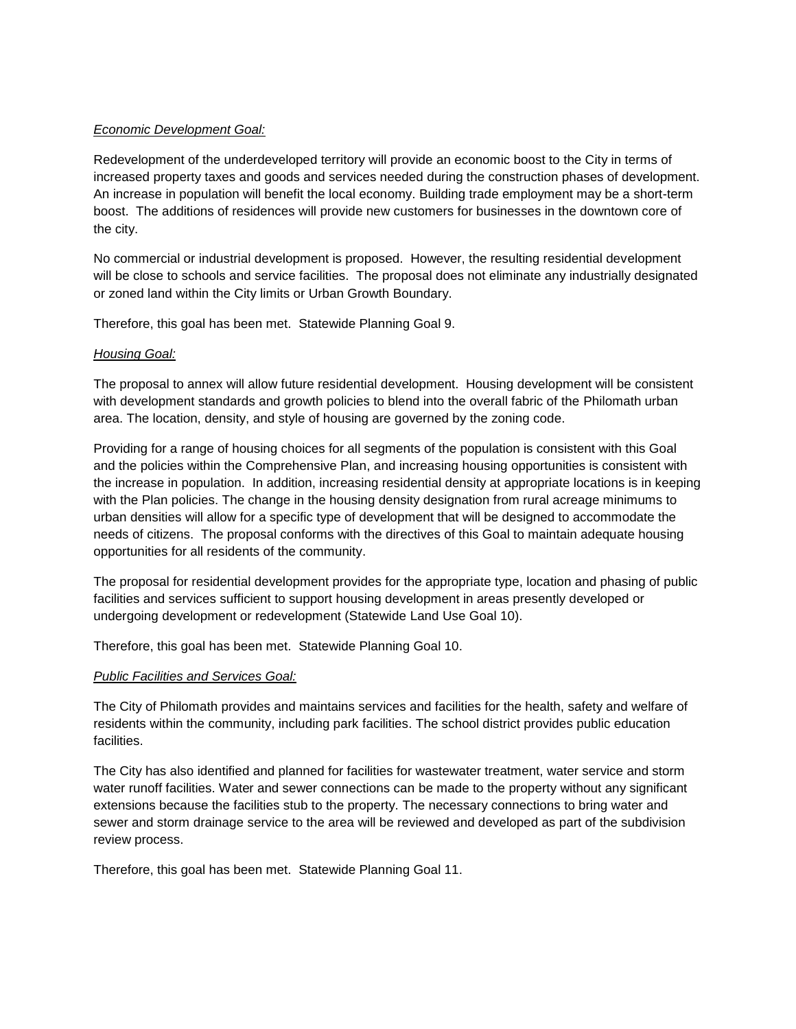## *Economic Development Goal:*

Redevelopment of the underdeveloped territory will provide an economic boost to the City in terms of increased property taxes and goods and services needed during the construction phases of development. An increase in population will benefit the local economy. Building trade employment may be a short-term boost. The additions of residences will provide new customers for businesses in the downtown core of the city.

No commercial or industrial development is proposed. However, the resulting residential development will be close to schools and service facilities. The proposal does not eliminate any industrially designated or zoned land within the City limits or Urban Growth Boundary.

Therefore, this goal has been met. Statewide Planning Goal 9.

## *Housing Goal:*

The proposal to annex will allow future residential development. Housing development will be consistent with development standards and growth policies to blend into the overall fabric of the Philomath urban area. The location, density, and style of housing are governed by the zoning code.

Providing for a range of housing choices for all segments of the population is consistent with this Goal and the policies within the Comprehensive Plan, and increasing housing opportunities is consistent with the increase in population. In addition, increasing residential density at appropriate locations is in keeping with the Plan policies. The change in the housing density designation from rural acreage minimums to urban densities will allow for a specific type of development that will be designed to accommodate the needs of citizens. The proposal conforms with the directives of this Goal to maintain adequate housing opportunities for all residents of the community.

The proposal for residential development provides for the appropriate type, location and phasing of public facilities and services sufficient to support housing development in areas presently developed or undergoing development or redevelopment (Statewide Land Use Goal 10).

Therefore, this goal has been met. Statewide Planning Goal 10.

### *Public Facilities and Services Goal:*

The City of Philomath provides and maintains services and facilities for the health, safety and welfare of residents within the community, including park facilities. The school district provides public education facilities.

The City has also identified and planned for facilities for wastewater treatment, water service and storm water runoff facilities. Water and sewer connections can be made to the property without any significant extensions because the facilities stub to the property. The necessary connections to bring water and sewer and storm drainage service to the area will be reviewed and developed as part of the subdivision review process.

Therefore, this goal has been met. Statewide Planning Goal 11.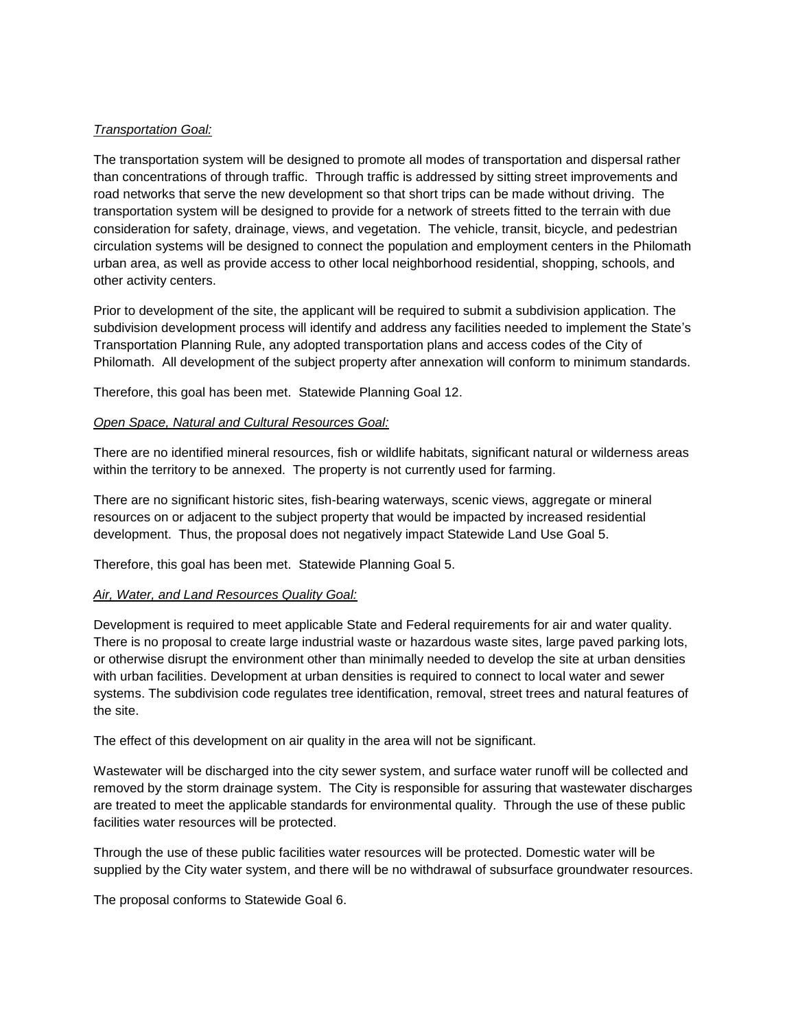## *Transportation Goal:*

The transportation system will be designed to promote all modes of transportation and dispersal rather than concentrations of through traffic. Through traffic is addressed by sitting street improvements and road networks that serve the new development so that short trips can be made without driving. The transportation system will be designed to provide for a network of streets fitted to the terrain with due consideration for safety, drainage, views, and vegetation. The vehicle, transit, bicycle, and pedestrian circulation systems will be designed to connect the population and employment centers in the Philomath urban area, as well as provide access to other local neighborhood residential, shopping, schools, and other activity centers.

Prior to development of the site, the applicant will be required to submit a subdivision application. The subdivision development process will identify and address any facilities needed to implement the State's Transportation Planning Rule, any adopted transportation plans and access codes of the City of Philomath. All development of the subject property after annexation will conform to minimum standards.

Therefore, this goal has been met. Statewide Planning Goal 12.

### *Open Space, Natural and Cultural Resources Goal:*

There are no identified mineral resources, fish or wildlife habitats, significant natural or wilderness areas within the territory to be annexed. The property is not currently used for farming.

There are no significant historic sites, fish-bearing waterways, scenic views, aggregate or mineral resources on or adjacent to the subject property that would be impacted by increased residential development. Thus, the proposal does not negatively impact Statewide Land Use Goal 5.

Therefore, this goal has been met. Statewide Planning Goal 5.

### *Air, Water, and Land Resources Quality Goal:*

Development is required to meet applicable State and Federal requirements for air and water quality. There is no proposal to create large industrial waste or hazardous waste sites, large paved parking lots, or otherwise disrupt the environment other than minimally needed to develop the site at urban densities with urban facilities. Development at urban densities is required to connect to local water and sewer systems. The subdivision code regulates tree identification, removal, street trees and natural features of the site.

The effect of this development on air quality in the area will not be significant.

Wastewater will be discharged into the city sewer system, and surface water runoff will be collected and removed by the storm drainage system. The City is responsible for assuring that wastewater discharges are treated to meet the applicable standards for environmental quality. Through the use of these public facilities water resources will be protected.

Through the use of these public facilities water resources will be protected. Domestic water will be supplied by the City water system, and there will be no withdrawal of subsurface groundwater resources.

The proposal conforms to Statewide Goal 6.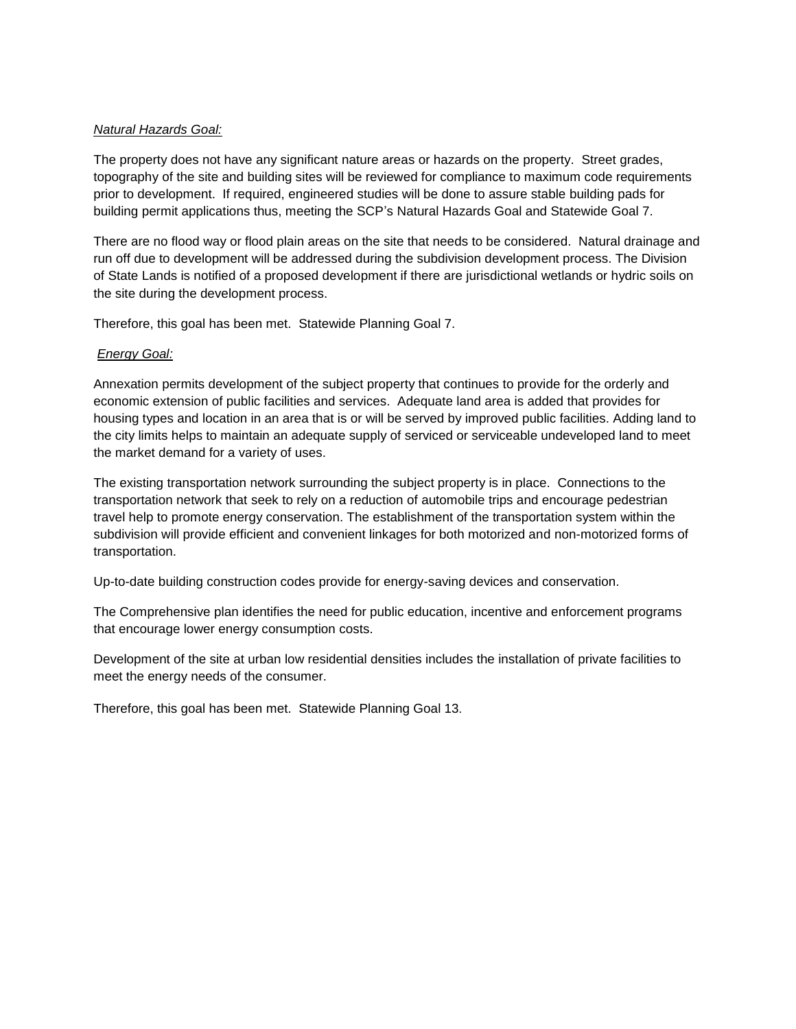## *Natural Hazards Goal:*

The property does not have any significant nature areas or hazards on the property. Street grades, topography of the site and building sites will be reviewed for compliance to maximum code requirements prior to development. If required, engineered studies will be done to assure stable building pads for building permit applications thus, meeting the SCP's Natural Hazards Goal and Statewide Goal 7.

There are no flood way or flood plain areas on the site that needs to be considered. Natural drainage and run off due to development will be addressed during the subdivision development process. The Division of State Lands is notified of a proposed development if there are jurisdictional wetlands or hydric soils on the site during the development process.

Therefore, this goal has been met. Statewide Planning Goal 7.

## *Energy Goal:*

Annexation permits development of the subject property that continues to provide for the orderly and economic extension of public facilities and services. Adequate land area is added that provides for housing types and location in an area that is or will be served by improved public facilities. Adding land to the city limits helps to maintain an adequate supply of serviced or serviceable undeveloped land to meet the market demand for a variety of uses.

The existing transportation network surrounding the subject property is in place. Connections to the transportation network that seek to rely on a reduction of automobile trips and encourage pedestrian travel help to promote energy conservation. The establishment of the transportation system within the subdivision will provide efficient and convenient linkages for both motorized and non-motorized forms of transportation.

Up-to-date building construction codes provide for energy-saving devices and conservation.

The Comprehensive plan identifies the need for public education, incentive and enforcement programs that encourage lower energy consumption costs.

Development of the site at urban low residential densities includes the installation of private facilities to meet the energy needs of the consumer.

Therefore, this goal has been met. Statewide Planning Goal 13.